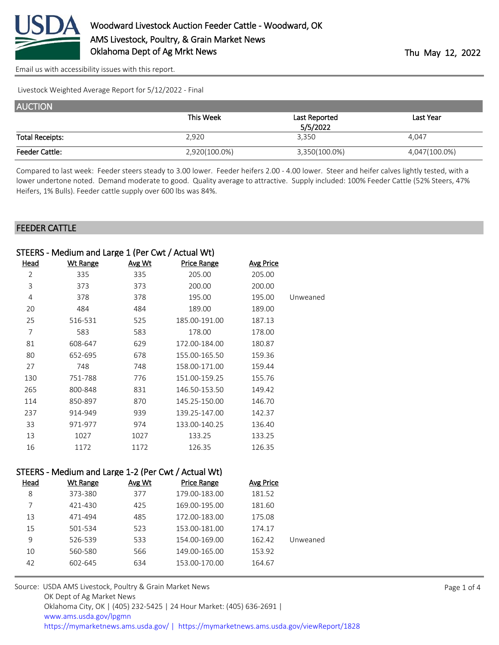

[Email us with accessibility issues with this report.](mailto:mars@ams.usda.gov?subject=508%20issue)

Livestock Weighted Average Report for 5/12/2022 - Final

| <b>AUCTION</b>         |               |               |               |
|------------------------|---------------|---------------|---------------|
|                        | This Week     | Last Reported | Last Year     |
|                        |               | 5/5/2022      |               |
| <b>Total Receipts:</b> | 2,920         | 3,350         | 4,047         |
| <b>Feeder Cattle:</b>  | 2,920(100.0%) | 3,350(100.0%) | 4,047(100.0%) |

Compared to last week: Feeder steers steady to 3.00 lower. Feeder heifers 2.00 - 4.00 lower. Steer and heifer calves lightly tested, with a lower undertone noted. Demand moderate to good. Quality average to attractive. Supply included: 100% Feeder Cattle (52% Steers, 47% Heifers, 1% Bulls). Feeder cattle supply over 600 lbs was 84%.

#### FEEDER CATTLE

|                | STEERS - Medium and Large 1 (Per Cwt / Actual Wt) |               |                    |                  |          |
|----------------|---------------------------------------------------|---------------|--------------------|------------------|----------|
| <u>Head</u>    | <b>Wt Range</b>                                   | <u>Avg Wt</u> | <b>Price Range</b> | <b>Avg Price</b> |          |
| $\overline{2}$ | 335                                               | 335           | 205.00             | 205.00           |          |
| 3              | 373                                               | 373           | 200.00             | 200.00           |          |
| 4              | 378                                               | 378           | 195.00             | 195.00           | Unweaned |
| 20             | 484                                               | 484           | 189.00             | 189.00           |          |
| 25             | 516-531                                           | 525           | 185.00-191.00      | 187.13           |          |
| 7              | 583                                               | 583           | 178.00             | 178.00           |          |
| 81             | 608-647                                           | 629           | 172.00-184.00      | 180.87           |          |
| 80             | 652-695                                           | 678           | 155.00-165.50      | 159.36           |          |
| 27             | 748                                               | 748           | 158.00-171.00      | 159.44           |          |
| 130            | 751-788                                           | 776           | 151.00-159.25      | 155.76           |          |
| 265            | 800-848                                           | 831           | 146.50-153.50      | 149.42           |          |
| 114            | 850-897                                           | 870           | 145.25-150.00      | 146.70           |          |
| 237            | 914-949                                           | 939           | 139.25-147.00      | 142.37           |          |
| 33             | 971-977                                           | 974           | 133.00-140.25      | 136.40           |          |
| 13             | 1027                                              | 1027          | 133.25             | 133.25           |          |
| 16             | 1172                                              | 1172          | 126.35             | 126.35           |          |
| $-------$      | .                                                 |               |                    |                  |          |

|          |                  |                    |        | STEERS - Medium and Large I-2 (Per CWt / Actual Wt) |             |
|----------|------------------|--------------------|--------|-----------------------------------------------------|-------------|
|          | <b>Avg Price</b> | <b>Price Range</b> | Avg Wt | Wt Range                                            | <u>Head</u> |
|          | 181.52           | 179.00-183.00      | 377    | 373-380                                             | 8           |
|          | 181.60           | 169.00-195.00      | 425    | 421-430                                             |             |
|          | 175.08           | 172.00-183.00      | 485    | 471-494                                             | 13          |
|          | 174.17           | 153.00-181.00      | 523    | 501-534                                             | 15          |
| Unweaned | 162.42           | 154.00-169.00      | 533    | 526-539                                             | 9           |
|          | 153.92           | 149.00-165.00      | 566    | 560-580                                             | 10          |
|          | 164.67           | 153.00-170.00      | 634    | 602-645                                             | 42          |
|          |                  |                    |        |                                                     |             |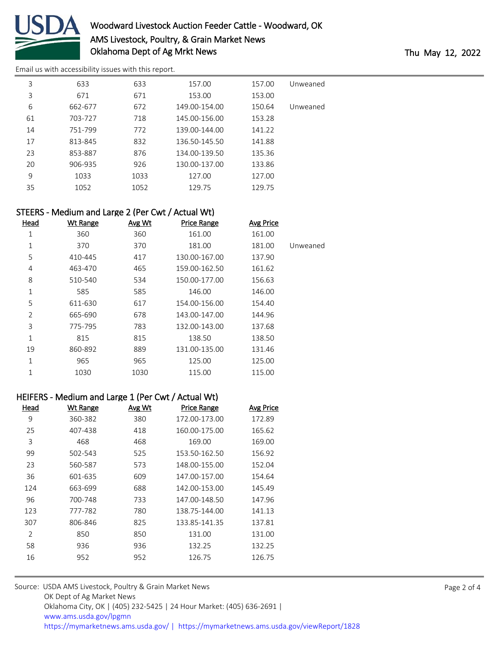

# Woodward Livestock Auction Feeder Cattle - Woodward, OK AMS Livestock, Poultry, & Grain Market News Oklahoma Dept of Ag Mrkt News Thu May 12, 2022

[Email us with accessibility issues with this report.](mailto:mars@ams.usda.gov?subject=508%20issue)

| 3  | 633     | 633  | 157.00        | 157.00 | Unweaned |
|----|---------|------|---------------|--------|----------|
| 3  | 671     | 671  | 153.00        | 153.00 |          |
| 6  | 662-677 | 672  | 149.00-154.00 | 150.64 | Unweaned |
| 61 | 703-727 | 718  | 145.00-156.00 | 153.28 |          |
| 14 | 751-799 | 772  | 139.00-144.00 | 141.22 |          |
| 17 | 813-845 | 832  | 136.50-145.50 | 141.88 |          |
| 23 | 853-887 | 876  | 134.00-139.50 | 135.36 |          |
| 20 | 906-935 | 926  | 130.00-137.00 | 133.86 |          |
| 9  | 1033    | 1033 | 127.00        | 127.00 |          |
| 35 | 1052    | 1052 | 129.75        | 129.75 |          |

## STEERS - Medium and Large 2 (Per Cwt / Actual Wt)

| <u>Head</u>    | <b>Wt Range</b> | Avg Wt | <b>Price Range</b> | <b>Avg Price</b> |          |
|----------------|-----------------|--------|--------------------|------------------|----------|
| 1              | 360             | 360    | 161.00             | 161.00           |          |
| 1              | 370             | 370    | 181.00             | 181.00           | Unweaned |
| 5              | 410-445         | 417    | 130.00-167.00      | 137.90           |          |
| 4              | 463-470         | 465    | 159.00-162.50      | 161.62           |          |
| 8              | 510-540         | 534    | 150.00-177.00      | 156.63           |          |
| 1              | 585             | 585    | 146.00             | 146.00           |          |
| 5              | 611-630         | 617    | 154.00-156.00      | 154.40           |          |
| $\overline{2}$ | 665-690         | 678    | 143.00-147.00      | 144.96           |          |
| 3              | 775-795         | 783    | 132.00-143.00      | 137.68           |          |
| 1              | 815             | 815    | 138.50             | 138.50           |          |
| 19             | 860-892         | 889    | 131.00-135.00      | 131.46           |          |
| 1              | 965             | 965    | 125.00             | 125.00           |          |
| 1              | 1030            | 1030   | 115.00             | 115.00           |          |

#### HEIFERS - Medium and Large 1 (Per Cwt / Actual Wt)

| Head           | <b>Wt Range</b> | Avg Wt | <b>Price Range</b> | Avg Price |
|----------------|-----------------|--------|--------------------|-----------|
| 9              | 360-382         | 380    | 172.00-173.00      | 172.89    |
| 25             | 407-438         | 418    | 160.00-175.00      | 165.62    |
| 3              | 468             | 468    | 169.00             | 169.00    |
| 99             | 502-543         | 525    | 153.50-162.50      | 156.92    |
| 23             | 560-587         | 573    | 148.00-155.00      | 152.04    |
| 36             | 601-635         | 609    | 147.00-157.00      | 154.64    |
| 124            | 663-699         | 688    | 142.00-153.00      | 145.49    |
| 96             | 700-748         | 733    | 147.00-148.50      | 147.96    |
| 123            | 777-782         | 780    | 138.75-144.00      | 141.13    |
| 307            | 806-846         | 825    | 133.85-141.35      | 137.81    |
| $\mathfrak{D}$ | 850             | 850    | 131.00             | 131.00    |
| 58             | 936             | 936    | 132.25             | 132.25    |
| 16             | 952             | 952    | 126.75             | 126.75    |
|                |                 |        |                    |           |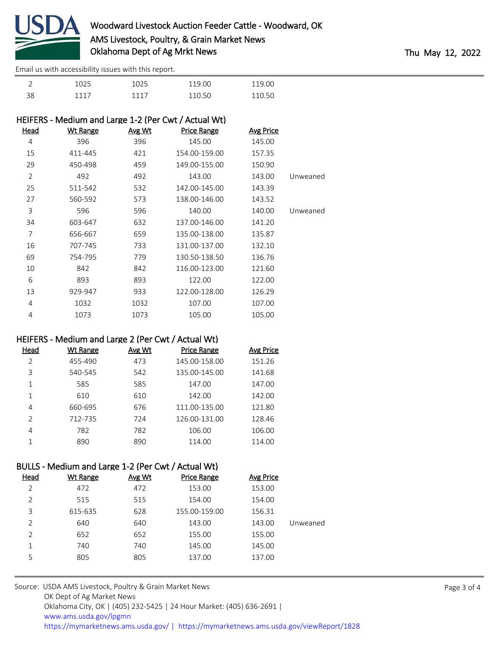

[Email us with accessibility issues with this report.](mailto:mars@ams.usda.gov?subject=508%20issue)

| $\overline{\phantom{0}}$ | 1025 | 1025 | 119 OO | 119.00 |
|--------------------------|------|------|--------|--------|
| 38                       | 1117 | 1117 | 110 50 | 110.50 |

### HEIFERS - Medium and Large 1-2 (Per Cwt / Actual Wt)

| <u>Head</u>    | <b>Wt Range</b> | Avg Wt | <b>Price Range</b> | <b>Avg Price</b> |          |
|----------------|-----------------|--------|--------------------|------------------|----------|
| 4              | 396             | 396    | 145.00             | 145.00           |          |
| 15             | 411-445         | 421    | 154.00-159.00      | 157.35           |          |
| 29             | 450-498         | 459    | 149.00-155.00      | 150.90           |          |
| $\overline{2}$ | 492             | 492    | 143.00             | 143.00           | Unweaned |
| 25             | 511-542         | 532    | 142.00-145.00      | 143.39           |          |
| 27             | 560-592         | 573    | 138.00-146.00      | 143.52           |          |
| 3              | 596             | 596    | 140.00             | 140.00           | Unweaned |
| 34             | 603-647         | 632    | 137.00-146.00      | 141.20           |          |
| 7              | 656-667         | 659    | 135.00-138.00      | 135.87           |          |
| 16             | 707-745         | 733    | 131.00-137.00      | 132.10           |          |
| 69             | 754-795         | 779    | 130.50-138.50      | 136.76           |          |
| 10             | 842             | 842    | 116.00-123.00      | 121.60           |          |
| 6              | 893             | 893    | 122.00             | 122.00           |          |
| 13             | 929-947         | 933    | 122.00-128.00      | 126.29           |          |
| 4              | 1032            | 1032   | 107.00             | 107.00           |          |
| 4              | 1073            | 1073   | 105.00             | 105.00           |          |

#### HEIFERS - Medium and Large 2 (Per Cwt / Actual Wt)

| Head           | Wt Range | Avg Wt | <b>Price Range</b> | <b>Avg Price</b> |
|----------------|----------|--------|--------------------|------------------|
| $\overline{2}$ | 455-490  | 473    | 145.00-158.00      | 151.26           |
| 3              | 540-545  | 542    | 135.00-145.00      | 141.68           |
|                | 585      | 585    | 147.00             | 147.00           |
| 1              | 610      | 610    | 142.00             | 142.00           |
| 4              | 660-695  | 676    | 111.00-135.00      | 121.80           |
| $\mathfrak{D}$ | 712-735  | 724    | 126.00-131.00      | 128.46           |
| 4              | 782      | 782    | 106.00             | 106.00           |
|                | 890      | 890    | 114.00             | 114.00           |

## BULLS - Medium and Large 1-2 (Per Cwt / Actual Wt)

| Head           | Wt Range | Avg Wt | <b>Price Range</b> | <b>Avg Price</b> |          |
|----------------|----------|--------|--------------------|------------------|----------|
| 2              | 472      | 472    | 153.00             | 153.00           |          |
| 2              | 515      | 515    | 154.00             | 154.00           |          |
| 3              | 615-635  | 628    | 155.00-159.00      | 156.31           |          |
| $\overline{2}$ | 640      | 640    | 143.00             | 143.00           | Unweaned |
| 2              | 652      | 652    | 155.00             | 155.00           |          |
| 1              | 740      | 740    | 145.00             | 145.00           |          |
| 5              | 805      | 805    | 137.00             | 137.00           |          |
|                |          |        |                    |                  |          |